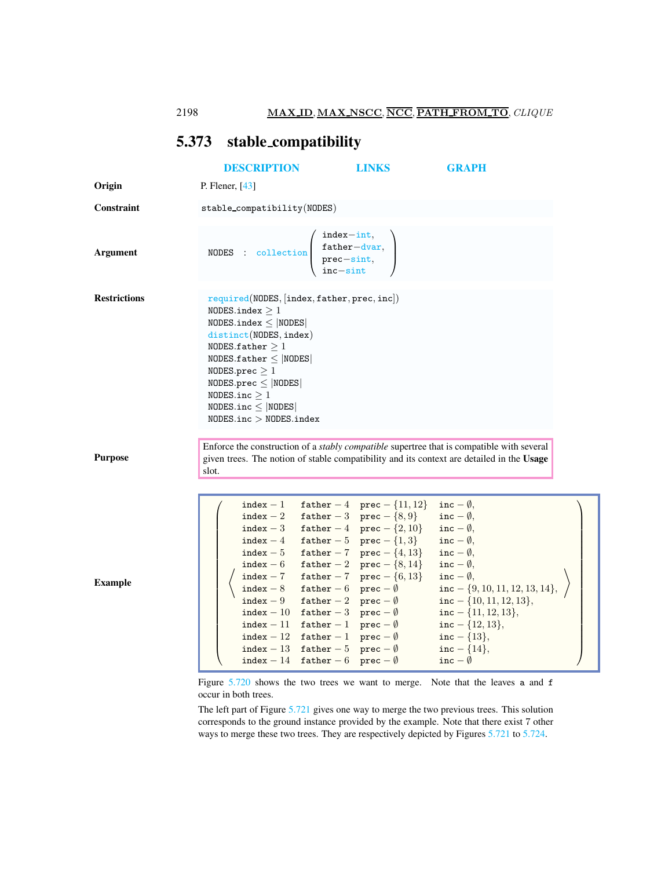2198 MAX ID, MAX NSCC, NCC, PATH FROM TO, CLIQUE

## <span id="page-0-0"></span>5.373 stable compatibility

|                     | <b>DESCRIPTION</b>                                                                                                                                                                                                                                                                                            |                                                                                                                                                                                                                                                                                                      | <b>LINKS</b>                                                                                                                                                                                                                                                                       | <b>GRAPH</b>                                                                                                                                                                                                                                                                                                                                                                                                              |  |
|---------------------|---------------------------------------------------------------------------------------------------------------------------------------------------------------------------------------------------------------------------------------------------------------------------------------------------------------|------------------------------------------------------------------------------------------------------------------------------------------------------------------------------------------------------------------------------------------------------------------------------------------------------|------------------------------------------------------------------------------------------------------------------------------------------------------------------------------------------------------------------------------------------------------------------------------------|---------------------------------------------------------------------------------------------------------------------------------------------------------------------------------------------------------------------------------------------------------------------------------------------------------------------------------------------------------------------------------------------------------------------------|--|
| Origin              | P. Flener, $[43]$                                                                                                                                                                                                                                                                                             |                                                                                                                                                                                                                                                                                                      |                                                                                                                                                                                                                                                                                    |                                                                                                                                                                                                                                                                                                                                                                                                                           |  |
| Constraint          | stable_compatibility(NODES)                                                                                                                                                                                                                                                                                   |                                                                                                                                                                                                                                                                                                      |                                                                                                                                                                                                                                                                                    |                                                                                                                                                                                                                                                                                                                                                                                                                           |  |
| <b>Argument</b>     | NODES : collection $\begin{cases} \text{father–dvar,} \\ \text{prec-sint,} \\ \text{inc-sint} \end{cases}$                                                                                                                                                                                                    | $index-int,$                                                                                                                                                                                                                                                                                         |                                                                                                                                                                                                                                                                                    |                                                                                                                                                                                                                                                                                                                                                                                                                           |  |
| <b>Restrictions</b> | required (NODES, [index, father, prec, inc])<br>NODES.index $>1$<br>$NODES.index \leq  NODES $<br>distinct(NODES, index)<br>NODES.father $>1$<br>NODES.father $\leq$  NODES <br>NODES.prec $\geq 1$<br>NODES.prec $\leq$  NODES <br>NODES.inc $\geq 1$<br>NODES.inc $\leq$  NODES <br>NODES.inc > NODES.index |                                                                                                                                                                                                                                                                                                      |                                                                                                                                                                                                                                                                                    | Enforce the construction of a <i>stably compatible</i> supertree that is compatible with several                                                                                                                                                                                                                                                                                                                          |  |
| <b>Purpose</b>      | slot.                                                                                                                                                                                                                                                                                                         |                                                                                                                                                                                                                                                                                                      |                                                                                                                                                                                                                                                                                    | given trees. The notion of stable compatibility and its context are detailed in the Usage                                                                                                                                                                                                                                                                                                                                 |  |
| <b>Example</b>      | $index - 1$<br>$index - 2$<br>$index - 9$                                                                                                                                                                                                                                                                     | index - 8 father - 6 prec - $\emptyset$<br>father $-2$ prec $-\emptyset$<br>index - 10 father - 3 prec - $\emptyset$<br>index - 11 father - 1 prec - $\emptyset$<br>index - 12 father - 1 prec - $\emptyset$<br>index - 13 father - 5 prec - $\emptyset$<br>index - 14 father - 6 prec - $\emptyset$ | father $-4$ prec $-$ {11, 12}<br>father $-3$ prec $-\{8,9\}$<br>index - 3 father - 4 prec - $\{2, 10\}$<br>index $-4$ father $-5$ prec $-\{1,3\}$<br>index - 5 father - 7 prec - $\{4, 13\}$<br>index - 6 father - 2 prec - $\{8, 14\}$<br>index $-7$ father $-7$ prec $-$ {6, 13} | inc $-\emptyset$ ,<br>inc $-\emptyset$ ,<br>inc $-\emptyset$ ,<br>inc $-\emptyset$ ,<br>inc $-\emptyset$ ,<br>inc $-\emptyset$ ,<br>inc $-\emptyset$ ,<br>$inc - \{9, 10, 11, 12, 13, 14\}$<br>inc $-$ {10, 11, 12, 13},<br>inc $-$ {11, 12, 13},<br>inc $-$ {12, 13},<br>inc $- \{13\},\$<br>inc $- \{14\},\$<br>inc $-\emptyset$<br>Figure $5.720$ shows the two trees we want to merge. Note that the leaves a and $f$ |  |

occur in both trees.

The left part of Figure [5.721](#page-1-1) gives one way to merge the two previous trees. This solution corresponds to the ground instance provided by the example. Note that there exist 7 other ways to merge these two trees. They are respectively depicted by Figures [5.721](#page-1-1) to [5.724.](#page-2-0)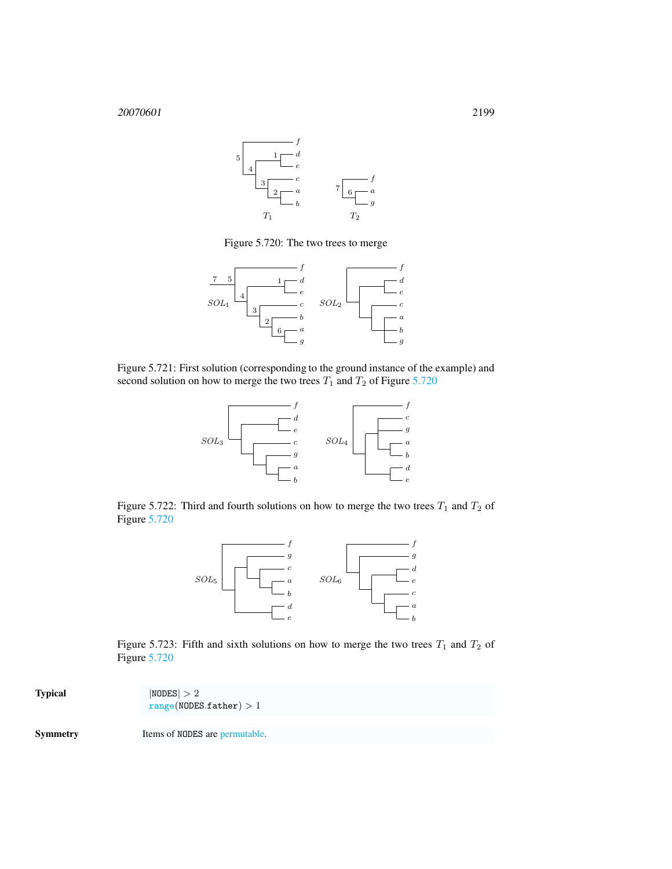

<span id="page-1-0"></span>Figure 5.720: The two trees to merge



Figure 5.721: First solution (corresponding to the ground instance of the example) and second solution on how to merge the two trees  $T_1$  and  $T_2$  of Figure [5.720](#page-1-0)

<span id="page-1-1"></span>

Figure 5.722: Third and fourth solutions on how to merge the two trees  $T_1$  and  $T_2$  of Figure [5.720](#page-1-0)





| <b>Typical</b>  | NODES  > 2<br>range(NODES.father) > 1 |
|-----------------|---------------------------------------|
| <b>Symmetry</b> | Items of NODES are permutable.        |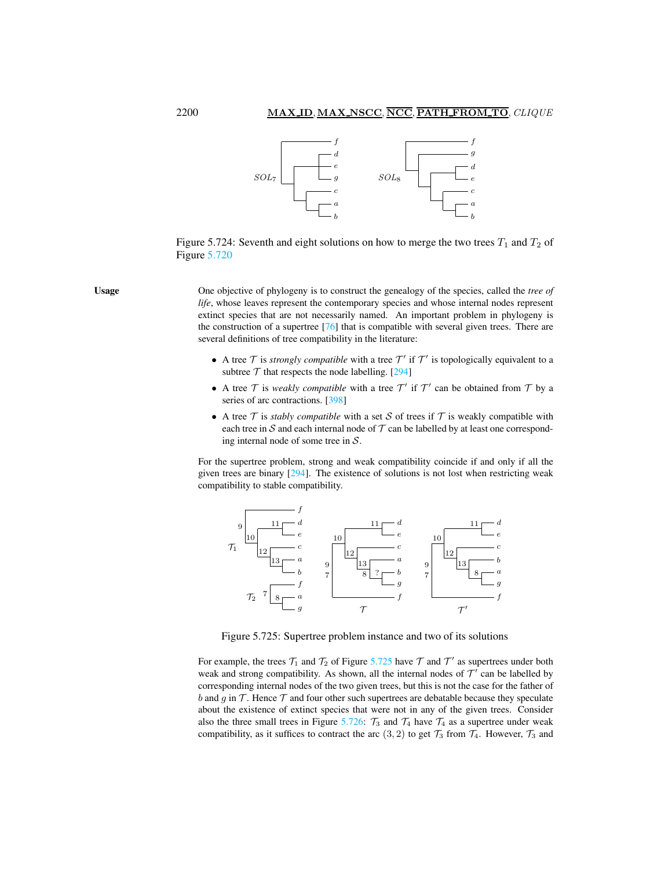

<span id="page-2-0"></span>Figure 5.724: Seventh and eight solutions on how to merge the two trees  $T_1$  and  $T_2$  of Figure [5.720](#page-1-0)

Usage One objective of phylogeny is to construct the genealogy of the species, called the *tree of life*, whose leaves represent the contemporary species and whose internal nodes represent extinct species that are not necessarily named. An important problem in phylogeny is the construction of a supertree [76] that is compatible with several given trees. There are several definitions of tree compatibility in the literature:

- A tree  $\mathcal T$  is *strongly compatible* with a tree  $\mathcal T'$  if  $\mathcal T'$  is topologically equivalent to a subtree  $T$  that respects the node labelling. [294]
- A tree  $T$  is *weakly compatible* with a tree  $T'$  if  $T'$  can be obtained from  $T$  by a series of arc contractions. [398]
- A tree  $\mathcal T$  is *stably compatible* with a set  $\mathcal S$  of trees if  $\mathcal T$  is weakly compatible with each tree in  $S$  and each internal node of  $T$  can be labelled by at least one corresponding internal node of some tree in S.

For the supertree problem, strong and weak compatibility coincide if and only if all the given trees are binary [294]. The existence of solutions is not lost when restricting weak compatibility to stable compatibility.



<span id="page-2-1"></span>Figure 5.725: Supertree problem instance and two of its solutions

For example, the trees  $\mathcal{T}_1$  and  $\mathcal{T}_2$  of Figure [5.725](#page-2-1) have  $\mathcal{T}$  and  $\mathcal{T}'$  as supertrees under both weak and strong compatibility. As shown, all the internal nodes of  $\mathcal{T}'$  can be labelled by corresponding internal nodes of the two given trees, but this is not the case for the father of b and q in  $\mathcal T$ . Hence  $\mathcal T$  and four other such supertrees are debatable because they speculate about the existence of extinct species that were not in any of the given trees. Consider also the three small trees in Figure [5.726:](#page-3-1)  $\mathcal{T}_3$  and  $\mathcal{T}_4$  have  $\mathcal{T}_4$  as a supertree under weak compatibility, as it suffices to contract the arc  $(3, 2)$  to get  $\mathcal{T}_3$  from  $\mathcal{T}_4$ . However,  $\mathcal{T}_3$  and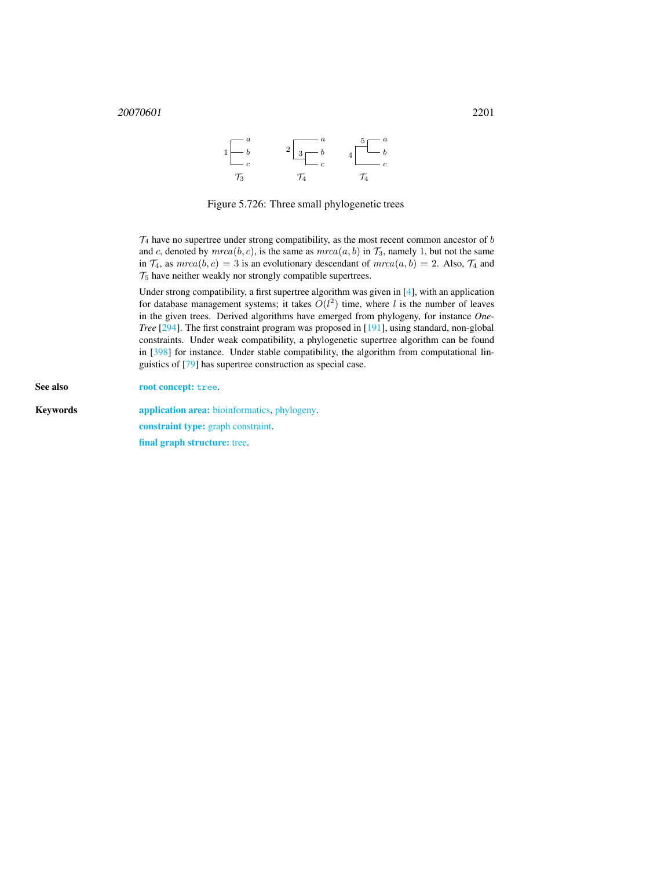$$
1\begin{array}{|c|c|}\n a \\
 b \\
 c \\
\hline\n\end{array}\n\qquad\n\begin{array}{|c|c|}\n 2 & a \\
 \hline\n 3 & b \\
 c \\
\hline\n\end{array}\n\qquad\n\begin{array}{|c|c|}\n 4 & \overline{5} & a \\
 b \\
 c \\
\hline\n\end{array}
$$

<span id="page-3-1"></span>Figure 5.726: Three small phylogenetic trees

 $\mathcal{T}_4$  have no supertree under strong compatibility, as the most recent common ancestor of b and c, denoted by  $m rca(b, c)$ , is the same as  $m rca(a, b)$  in  $\mathcal{T}_3$ , namely 1, but not the same in  $\mathcal{T}_4$ , as  $m rca(b, c) = 3$  is an evolutionary descendant of  $m rca(a, b) = 2$ . Also,  $\mathcal{T}_4$  and  $\mathcal{T}_5$  have neither weakly nor strongly compatible supertrees.

Under strong compatibility, a first supertree algorithm was given in [4], with an application for database management systems; it takes  $O(l^2)$  time, where l is the number of leaves in the given trees. Derived algorithms have emerged from phylogeny, for instance *One-Tree* [294]. The first constraint program was proposed in [191], using standard, non-global constraints. Under weak compatibility, a phylogenetic supertree algorithm can be found in [398] for instance. Under stable compatibility, the algorithm from computational linguistics of [79] has supertree construction as special case.

<span id="page-3-0"></span>See also root concept: tree. Keywords **application area:** bioinformatics, phylogeny. constraint type: graph constraint. final graph structure: tree.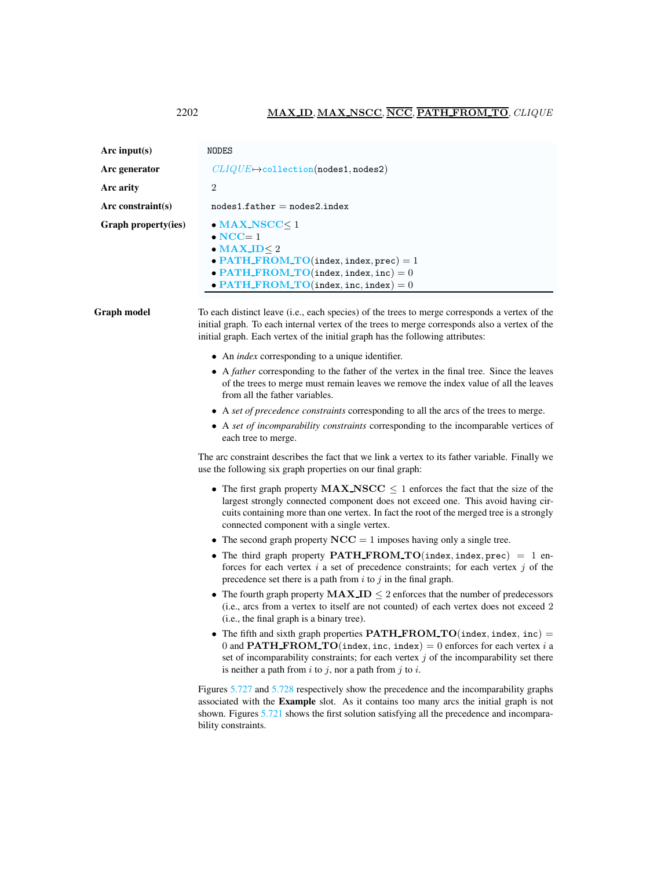<span id="page-4-0"></span>

| Arc input(s)        | NODES                                                                                                                                                                                                        |
|---------------------|--------------------------------------------------------------------------------------------------------------------------------------------------------------------------------------------------------------|
| Arc generator       | $CLIQUE \rightarrow collection(nodes1, nodes2)$                                                                                                                                                              |
| Arc arity           | $\overline{2}$                                                                                                                                                                                               |
| Arc constraint(s)   | $nodes1.father = nodes2.index$                                                                                                                                                                               |
| Graph property(ies) | $\bullet$ MAX_NSCC $\leq$ 1<br>$\bullet$ NCC= 1<br>$\bullet$ MAX_ID< 2<br>• PATH_FROM_TO(index, index, prec) = 1<br>$\bullet$ PATH_FROM_TO(index, index, inc) = 0<br>• PATH_FROM_TO(index, inc, index) = $0$ |

Graph model To each distinct leave (i.e., each species) of the trees to merge corresponds a vertex of the initial graph. To each internal vertex of the trees to merge corresponds also a vertex of the initial graph. Each vertex of the initial graph has the following attributes:

- An *index* corresponding to a unique identifier.
- A *father* corresponding to the father of the vertex in the final tree. Since the leaves of the trees to merge must remain leaves we remove the index value of all the leaves from all the father variables.
- A *set of precedence constraints* corresponding to all the arcs of the trees to merge.
- A *set of incomparability constraints* corresponding to the incomparable vertices of each tree to merge.

The arc constraint describes the fact that we link a vertex to its father variable. Finally we use the following six graph properties on our final graph:

- The first graph property  $MAX\_NSCC \leq 1$  enforces the fact that the size of the largest strongly connected component does not exceed one. This avoid having circuits containing more than one vertex. In fact the root of the merged tree is a strongly connected component with a single vertex.
- The second graph property  $NCC = 1$  imposes having only a single tree.
- The third graph property **PATH FROM TO**(index, index, prec) = 1 enforces for each vertex  $i$  a set of precedence constraints; for each vertex  $j$  of the precedence set there is a path from  $i$  to  $j$  in the final graph.
- The fourth graph property  $MAX.ID \leq 2$  enforces that the number of predecessors (i.e., arcs from a vertex to itself are not counted) of each vertex does not exceed 2 (i.e., the final graph is a binary tree).
- The fifth and sixth graph properties  $\textbf{PATH\_FROM\_TO}(\texttt{index}, \texttt{index}, \texttt{inc}) =$ 0 and **PATH\_FROM\_TO**(index, inc, index) = 0 enforces for each vertex i a set of incomparability constraints; for each vertex  $j$  of the incomparability set there is neither a path from  $i$  to  $j$ , nor a path from  $j$  to  $i$ .

Figures [5.727](#page-5-0) and [5.728](#page-5-1) respectively show the precedence and the incomparability graphs associated with the Example slot. As it contains too many arcs the initial graph is not shown. Figures [5.721](#page-1-1) shows the first solution satisfying all the precedence and incomparability constraints.